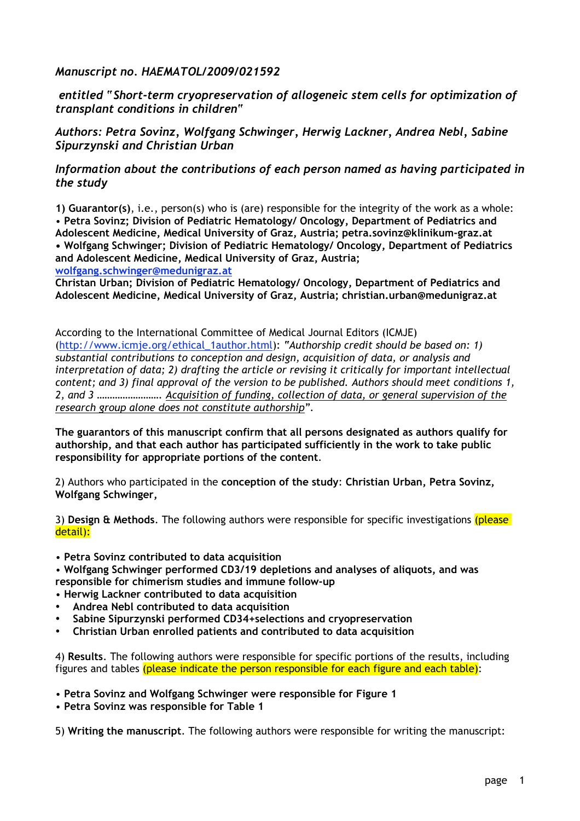*Manuscript no. HAEMATOL/2009/021592*

 *entitled "Short-term cryopreservation of allogeneic stem cells for optimization of transplant conditions in children"*

*Authors: Petra Sovinz, Wolfgang Schwinger, Herwig Lackner, Andrea Nebl, Sabine Sipurzynski and Christian Urban*

## *Information about the contributions of each person named as having participated in the study*

**1) Guarantor(s)**, i.e., person(s) who is (are) responsible for the integrity of the work as a whole: • **Petra Sovinz; Division of Pediatric Hematology/ Oncology, Department of Pediatrics and Adolescent Medicine, Medical University of Graz, Austria; petra.sovinz@klinikum-graz.at • Wolfgang Schwinger; Division of Pediatric Hematology/ Oncology, Department of Pediatrics and Adolescent Medicine, Medical University of Graz, Austria; wolfgang.schwinger@medunigraz.at**

**Christan Urban; Division of Pediatric Hematology/ Oncology, Department of Pediatrics and Adolescent Medicine, Medical University of Graz, Austria; christian.urban@medunigraz.at**

According to the International Committee of Medical Journal Editors (ICMJE) (http://www.icmje.org/ethical\_1author.html): *"Authorship credit should be based on: 1) substantial contributions to conception and design, acquisition of data, or analysis and interpretation of data; 2) drafting the article or revising it critically for important intellectual content; and 3) final approval of the version to be published. Authors should meet conditions 1, 2, and 3 ……………………. Acquisition of funding, collection of data, or general supervision of the research group alone does not constitute authorship".*

**The guarantors of this manuscript confirm that all persons designated as authors qualify for authorship, and that each author has participated sufficiently in the work to take public responsibility for appropriate portions of the content**.

2) Authors who participated in the **conception of the study**: **Christian Urban, Petra Sovinz, Wolfgang Schwinger,**

3) **Design & Methods**. The following authors were responsible for specific investigations (please detail):

• **Petra Sovinz contributed to data acquisition**

• **Wolfgang Schwinger performed CD3/19 depletions and analyses of aliquots, and was responsible for chimerism studies and immune follow-up**

- **Herwig Lackner contributed to data acquisition**
- **Andrea Nebl contributed to data acquisition**
- **Sabine Sipurzynski performed CD34+selections and cryopreservation**
- **Christian Urban enrolled patients and contributed to data acquisition**

4) **Results**. The following authors were responsible for specific portions of the results, including figures and tables (please indicate the person responsible for each figure and each table):

• **Petra Sovinz and Wolfgang Schwinger were responsible for Figure 1**

• **Petra Sovinz was responsible for Table 1**

5) **Writing the manuscript**. The following authors were responsible for writing the manuscript: